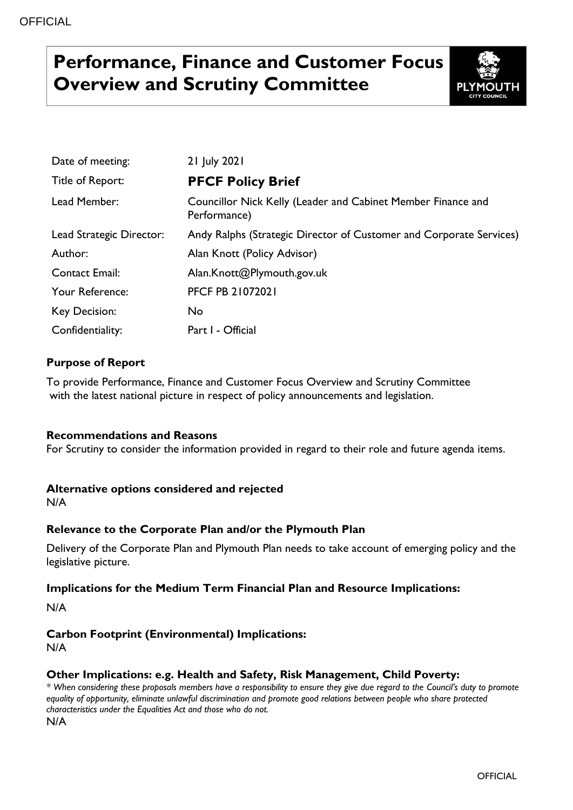# **Performance, Finance and Customer Focus Overview and Scrutiny Committee**



| Date of meeting:         | 21 July 2021                                                                 |
|--------------------------|------------------------------------------------------------------------------|
| Title of Report:         | <b>PFCF Policy Brief</b>                                                     |
| Lead Member:             | Councillor Nick Kelly (Leader and Cabinet Member Finance and<br>Performance) |
| Lead Strategic Director: | Andy Ralphs (Strategic Director of Customer and Corporate Services)          |
| Author:                  | Alan Knott (Policy Advisor)                                                  |
| <b>Contact Email:</b>    | Alan.Knott@Plymouth.gov.uk                                                   |
| Your Reference:          | <b>PFCF PB 21072021</b>                                                      |
| Key Decision:            | No.                                                                          |
| Confidentiality:         | Part I - Official                                                            |

# **Purpose of Report**

To provide Performance, Finance and Customer Focus Overview and Scrutiny Committee with the latest national picture in respect of policy announcements and legislation.

### **Recommendations and Reasons**

For Scrutiny to consider the information provided in regard to their role and future agenda items.

# **Alternative options considered and rejected**

N/A

# **Relevance to the Corporate Plan and/or the Plymouth Plan**

Delivery of the Corporate Plan and Plymouth Plan needs to take account of emerging policy and the legislative picture.

### **Implications for the Medium Term Financial Plan and Resource Implications:**

N/A

# **Carbon Footprint (Environmental) Implications:**

N/A

### **Other Implications: e.g. Health and Safety, Risk Management, Child Poverty:**

*\* When considering these proposals members have a responsibility to ensure they give due regard to the Council's duty to promote equality of opportunity, eliminate unlawful discrimination and promote good relations between people who share protected characteristics under the Equalities Act and those who do not.* N/A